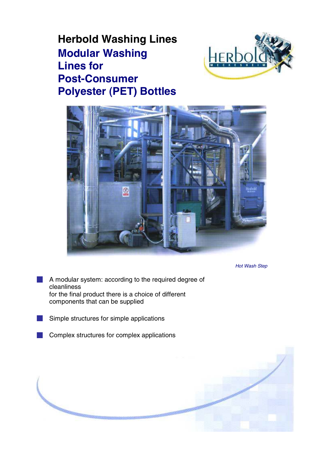# **Herbold Washing Lines Modular Washing Lines for Post-Consumer Polyester (PET) Bottles**





*Hot Wash Step*

- A modular system: according to the required degree of cleanliness for the final product there is a choice of different components that can be supplied
- Simple structures for simple applications
- Complex structures for complex applications

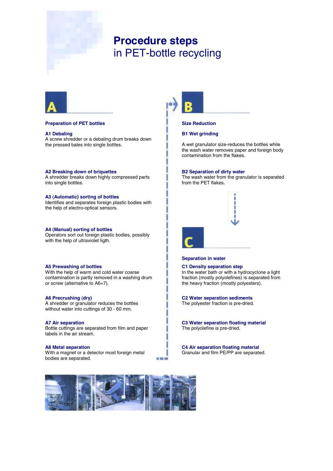

## **Procedure steps** in PET-bottle recycling



#### **Preparation of PET bottles Size Reduction**

#### **A1 Debaling**

A screw shredder or a debaling drum breaks down the pressed bales into single bottles.

### **A2 Breaking down of briquettes**

A shredder breaks down highly compressed parts into single bottles.

#### **A3 (Automatic) sorting of bottles**

Identifies and separates foreign plastic bodies with the help of electro-optical sensors.

#### **A4 (Manual) sorting of bottles**

Operators sort out foreign plastic bodies, possibly with the help of ultraviolet ligth.

#### **A5 Prewashing of bottles**

With the help of warm and cold water coarse contamination is partly removed in a washing drum or screw (alternative to A6+7).

#### **A6 Precrushing (dry)**

A shredder or granulator reduces the bottles without water into cuttings of 30 - 60 mm.

#### **A7 Air separation**

Bottle cuttings are separated from film and paper labels in the air stream.

#### **A8 Metal separation**

With a magnet or a detector most foreign metal bodies are separated.

■ 田 田



#### **B1 Wet grinding**

A wet granulator size-reduces the bottles while the wash water removes paper and foreign body contamination from the flakes.

#### **B2 Separation of dirty water**

The wash water from the granulator is separated from the PET flakes.



#### **Separation in water**

**C1 Density separation step** In the water bath or with a hydrocyclone a light fraction (mostly polyolefines) is separated from the heavy fraction (mostly polyesters).

#### **C2 Water separation sediments**

The polyester fraction is pre-dried.

**C3 Water separation floating material** The polyolefine is pre-dried.

**C4 Air separation floating material** Granular and film PE/PP are separated.

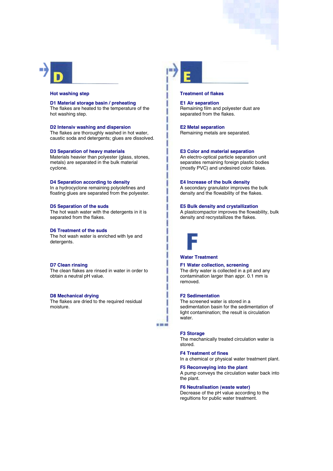

#### **Hot washing step Treatment of flakes**

**D1 Material storage basin / preheating** The flakes are heated to the temperature of the hot washing step.

**D2 Intensiv washing and dispersion** The flakes are thoroughly washed in hot water, caustic soda and detergents; glues are dissolved.

#### **D3 Separation of heavy materials**

Materials heavier than polvester (glass, stones, metals) are separated in the bulk material cyclone.

#### **D4 Separation according to density**

In a hydrocyclone remaining polyolefines and floating glues are separated from the polyester.

#### **D5 Separation of the suds**

The hot wash water with the detergents in it is separated from the flakes.

#### **D6 Treatment of the suds**

The hot wash water is enriched with lye and detergents.

#### **D7 Clean rinsing**

The clean flakes are rinsed in water in order to obtain a neutral pH value.

#### **D8 Mechanical drying**

The flakes are dried to the required residual moisture.



**E1 Air separation** Remaining film and polyester dust are separated from the flakes.

**E2 Metal separation** Remaining metals are separated.

#### **E3 Color and material separation**

An electro-optical particle separation unit separates remaining foreign plastic bodies (mostly PVC) and undesired color flakes.

#### **E4 Increase of the bulk density**

A secondary granulator improves the bulk density and the flowability of the flakes.

### **E5 Bulk density and crystallization**

A plastcompactor improves the flowability, bulk density and recrystallizes the flakes.



#### **Water Treatment**

**F1 Water collection, screening**

The dirty water is collected in a pit and any contamination larger than appr. 0.1 mm is removed.

### **F2 Sedimentation**

The screened water is stored in a sedimentation basin for the sedimentation of light contamination; the result is circulation water.

#### **F3 Storage**

or con and

The mechanically treated circulation water is stored.

#### **F4 Treatment of fines**

In a chemical or physical water treatment plant.

**F5 Reconveying into the plant** A pump conveys the circulation water back into the plant.

**F6 Neutralisation (waste water)** Decrease of the pH value according to the

regultions for public water treatment.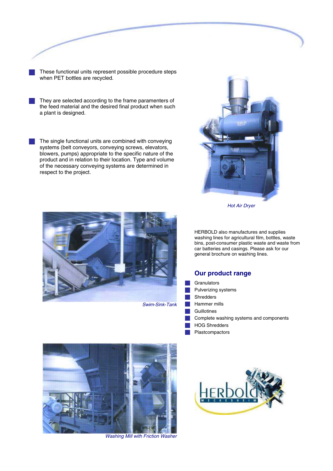- These functional units represent possible procedure steps when PET bottles are recycled.
- They are selected according to the frame paramenters of the feed material and the desired final product when such a plant is designed.
- The single functional units are combined with conveying systems (belt conveyors, conveying screws, elevators, blowers, pumps) appropriate to the specific nature of the product and in relation to their location. Type and volume of the necessary conveying systems are determined in respect to the project.



*Hot Air Dryer*



*Swim-Sink-Tank*

HERBOLD also manufactures and supplies washing lines for agricultural film, bottles, waste bins, post-consumer plastic waste and waste from car batteries and casings. Please ask for our general brochure on washing lines.

## **Our product range**

- **Granulators**
- Pulverizing systems
- Shredders
- Hammer mills
- **Guillotines**
- Complete washing systems and components
- HOG Shredders
- Plastcompactors



*Washing Mill with Friction Washer*